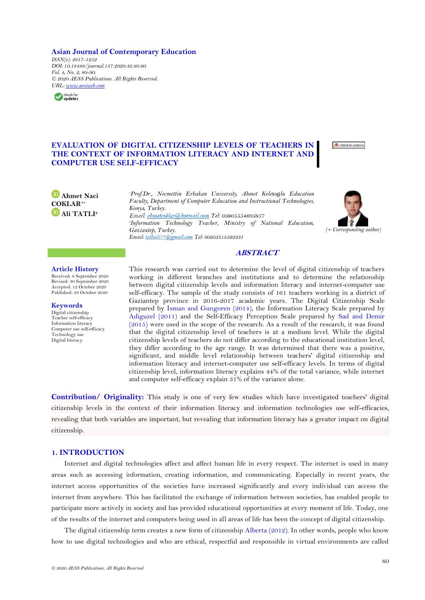**Asian Journal of Contemporary Education**

*ISSN(e): 2617-1252 DOI: 10.18488/journal.137.2020.42.80.90 Vol. 4, No. 2, 80-90. © 2020 AESS Publications. All Rights Reserved. URL: [www.aessweb.com](http://www.aessweb.com/)*



# **EVALUATION OF DIGITAL CITIZENSHIP LEVELS OF TEACHERS IN THE CONTEXT OF INFORMATION LITERACY AND INTERNET AND COMPUTER USE SELF-EFFICACY**



*<sup>1</sup>Prof.Dr., Necmettin Erbakan University, Ahmet Kelesoglu Education Faculty, Department of Computer Education and Instructional Technologies, Konya, Turkey.* Email: ahmetcoklar@hotmail.com Tel: 00905554605957 *2 Information Technology Teacher, Ministry of National Education, Gaziantep, Turkey. (+ Corresponding author)*



#### **Article History**

**Ahmet Naci COKLAR1+ Ali TATLI<sup>2</sup>**

Received: 8 September 2020 Revised: 30 September 2020 Accepted: 12 October 2020 Published: 28 October 2020

#### **Keywords**

Digital citizenship Teacher self-efficacy Information literacy Computer use self-efficacy Technology use Digital literacy.

This research was carried out to determine the level of digital citizenship of teachers working in different branches and institutions and to determine the relationship between digital citizenship levels and information literacy and internet-computer use self-efficacy. The sample of the study consists of 161 teachers working in a district of Gaziantep province in 2016-2017 academic years. The Digital Citizenship Scale prepared by [Isman and Gungoren \(2014\)](#page-9-0), the Information Literacy Scale prepared by [Adiguzel \(2011\)](#page-9-1) and the Self-Efficacy Perception Scale prepared by [Sad and Demir](#page-10-0)  [\(2015\)](#page-10-0) were used in the scope of the research. As a result of the research, it was found that the digital citizenship level of teachers is at a medium level. While the digital citizenship levels of teachers do not differ according to the educational institution level, they differ according to the age range. It was determined that there was a positive, significant, and middle level relationship between teachers' digital citizenship and information literacy and internet-computer use self-efficacy levels. In terms of digital citizenship level, information literacy explains 44% of the total variance, while internet and computer self-efficacy explain 31% of the variance alone.

**ABSTRACT**

**Contribution/ Originality:** This study is one of very few studies which have investigated teachers' digital citizenship levels in the context of their information literacy and information technologies use self-efficacies, revealing that both variables are important, but revealing that information literacy has a greater impact on digital citizenship.

# **1. INTRODUCTION**

Internet and digital technologies affect and affect human life in every respect. The internet is used in many areas such as accessing information, creating information, and communicating. Especially in recent years, the internet access opportunities of the societies have increased significantly and every individual can access the internet from anywhere. This has facilitated the exchange of information between societies, has enabled people to participate more actively in society and has provided educational opportunities at every moment of life. Today, one of the results of the internet and computers being used in all areas of life has been the concept of digital citizenship.

The digital citizenship term creates a new form of citizenship [Alberta \(2012\)](#page-9-2). In other words, people who know how to use digital technologies and who are ethical, respectful and responsible in virtual environments are called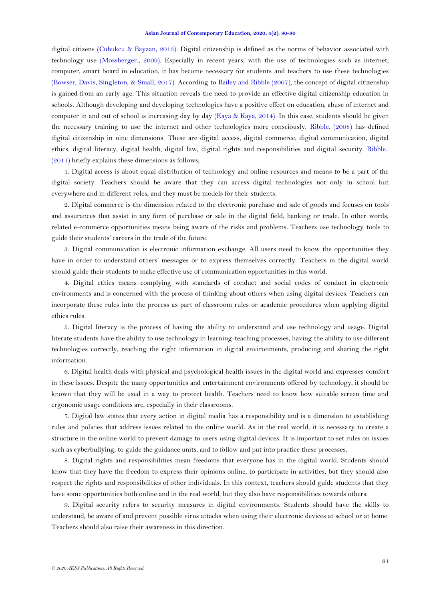digital citizens [\(Cubukcu & Bayzan, 2013\)](#page-9-3). Digital citizenship is defined as the norms of behavior associated with technology use [\(Mossberger., 2009\)](#page-10-1). Especially in recent years, with the use of technologies such as internet, computer, smart board in education, it has become necessary for students and teachers to use these technologies [\(Bowser, Davis, Singleton, & Small, 2017\)](#page-9-4). According to [Bailey and Ribble \(2007\)](#page-9-5), the concept of digital citizenship is gained from an early age. This situation reveals the need to provide an effective digital citizenship education in schools. Although developing and developing technologies have a positive effect on education, abuse of internet and computer in and out of school is increasing day by day [\(Kaya & Kaya, 2014\)](#page-9-0). In this case, students should be given the necessary training to use the internet and other technologies more consciously. [Ribble. \(2008\)](#page-10-2) has defined digital citizenship in nine dimensions. These are digital access, digital commerce, digital communication, digital ethics, digital literacy, digital health, digital law, digital rights and responsibilities and digital security. [Ribble..](#page-10-3)  [\(2011\)](#page-10-3) briefly explains these dimensions as follows;

1. Digital access is about equal distribution of technology and online resources and means to be a part of the digital society. Teachers should be aware that they can access digital technologies not only in school but everywhere and in different roles, and they must be models for their students.

2. Digital commerce is the dimension related to the electronic purchase and sale of goods and focuses on tools and assurances that assist in any form of purchase or sale in the digital field, banking or trade. In other words, related e-commerce opportunities means being aware of the risks and problems. Teachers use technology tools to guide their students' careers in the trade of the future.

3. Digital communication is electronic information exchange. All users need to know the opportunities they have in order to understand others' messages or to express themselves correctly. Teachers in the digital world should guide their students to make effective use of communication opportunities in this world.

4. Digital ethics means complying with standards of conduct and social codes of conduct in electronic environments and is concerned with the process of thinking about others when using digital devices. Teachers can incorporate these rules into the process as part of classroom rules or academic procedures when applying digital ethics rules.

5. Digital literacy is the process of having the ability to understand and use technology and usage. Digital literate students have the ability to use technology in learning-teaching processes, having the ability to use different technologies correctly, reaching the right information in digital environments, producing and sharing the right information.

6. Digital health deals with physical and psychological health issues in the digital world and expresses comfort in these issues. Despite the many opportunities and entertainment environments offered by technology, it should be known that they will be used in a way to protect health. Teachers need to know how suitable screen time and ergonomic usage conditions are, especially in their classrooms.

7. Digital law states that every action in digital media has a responsibility and is a dimension to establishing rules and policies that address issues related to the online world. As in the real world, it is necessary to create a structure in the online world to prevent damage to users using digital devices. It is important to set rules on issues such as cyberbullying, to guide the guidance units, and to follow and put into practice these processes.

8. Digital rights and responsibilities mean freedoms that everyone has in the digital world. Students should know that they have the freedom to express their opinions online, to participate in activities, but they should also respect the rights and responsibilities of other individuals. In this context, teachers should guide students that they have some opportunities both online and in the real world, but they also have responsibilities towards others.

9. Digital security refers to security measures in digital environments. Students should have the skills to understand, be aware of and prevent possible virus attacks when using their electronic devices at school or at home. Teachers should also raise their awareness in this direction.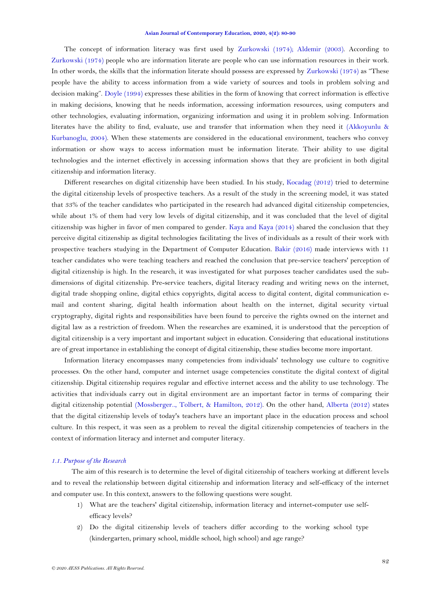The concept of information literacy was first used by [Zurkowski \(1974\)](#page-10-4); [Aldemir \(2003\)](#page-9-6). According to [Zurkowski \(1974\)](#page-10-4) people who are information literate are people who can use information resources in their work. In other words, the skills that the information literate should possess are expressed by [Zurkowski \(1974\)](#page-10-4) as "These people have the ability to access information from a wide variety of sources and tools in problem solving and decision making". [Doyle \(1994\)](#page-9-7) expresses these abilities in the form of knowing that correct information is effective in making decisions, knowing that he needs information, accessing information resources, using computers and other technologies, evaluating information, organizing information and using it in problem solving. Information literates have the ability to find, evaluate, use and transfer that information when they need it [\(Akkoyunlu &](#page-9-8)  [Kurbanoglu, 2004\)](#page-9-8). When these statements are considered in the educational environment, teachers who convey information or show ways to access information must be information literate. Their ability to use digital technologies and the internet effectively in accessing information shows that they are proficient in both digital citizenship and information literacy.

Different researches on digital citizenship have been studied. In his study, [Kocadag \(2012\)](#page-10-5) tried to determine the digital citizenship levels of prospective teachers. As a result of the study in the screening model, it was stated that 33% of the teacher candidates who participated in the research had advanced digital citizenship competencies, while about 1% of them had very low levels of digital citizenship, and it was concluded that the level of digital citizenship was higher in favor of men compared to gender. [Kaya and Kaya \(2014\)](#page-9-0) shared the conclusion that they perceive digital citizenship as digital technologies facilitating the lives of individuals as a result of their work with prospective teachers studying in the Department of Computer Education. [Bakir \(2016\)](#page-9-9) made interviews with 11 teacher candidates who were teaching teachers and reached the conclusion that pre-service teachers' perception of digital citizenship is high. In the research, it was investigated for what purposes teacher candidates used the subdimensions of digital citizenship. Pre-service teachers, digital literacy reading and writing news on the internet, digital trade shopping online, digital ethics copyrights, digital access to digital content, digital communication email and content sharing, digital health information about health on the internet, digital security virtual cryptography, digital rights and responsibilities have been found to perceive the rights owned on the internet and digital law as a restriction of freedom. When the researches are examined, it is understood that the perception of digital citizenship is a very important and important subject in education. Considering that educational institutions are of great importance in establishing the concept of digital citizenship, these studies become more important.

Information literacy encompasses many competencies from individuals' technology use culture to cognitive processes. On the other hand, computer and internet usage competencies constitute the digital context of digital citizenship. Digital citizenship requires regular and effective internet access and the ability to use technology. The activities that individuals carry out in digital environment are an important factor in terms of comparing their digital citizenship potential [\(Mossberger.., Tolbert, & Hamilton, 2012\)](#page-10-6). On the other hand, [Alberta \(2012\)](#page-9-2) states that the digital citizenship levels of today's teachers have an important place in the education process and school culture. In this respect, it was seen as a problem to reveal the digital citizenship competencies of teachers in the context of information literacy and internet and computer literacy.

### *1.1. Purpose of the Research*

The aim of this research is to determine the level of digital citizenship of teachers working at different levels and to reveal the relationship between digital citizenship and information literacy and self-efficacy of the internet and computer use. In this context, answers to the following questions were sought.

- 1) What are the teachers' digital citizenship, information literacy and internet-computer use selfefficacy levels?
- 2) Do the digital citizenship levels of teachers differ according to the working school type (kindergarten, primary school, middle school, high school) and age range?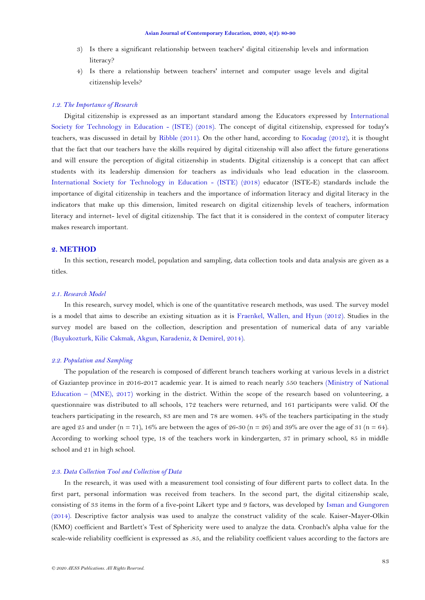- 3) Is there a significant relationship between teachers' digital citizenship levels and information literacy?
- 4) Is there a relationship between teachers' internet and computer usage levels and digital citizenship levels?

# *1.2. The Importance of Research*

Digital citizenship is expressed as an important standard among the Educators expressed by [International](#page-9-0)  [Society for Technology in Education -](#page-9-0) (ISTE) (2018). The concept of digital citizenship, expressed for today's teachers, was discussed in detail by [Ribble](#page-10-3) (2011). On the other hand, according to [Kocadag \(2012\)](#page-10-5), it is thought that the fact that our teachers have the skills required by digital citizenship will also affect the future generations and will ensure the perception of digital citizenship in students. Digital citizenship is a concept that can affect students with its leadership dimension for teachers as individuals who lead education in the classroom. [International Society for Technology in Education -](#page-9-0) (ISTE) (2018) educator (ISTE-E) standards include the importance of digital citizenship in teachers and the importance of information literacy and digital literacy in the indicators that make up this dimension, limited research on digital citizenship levels of teachers, information literacy and internet- level of digital citizenship. The fact that it is considered in the context of computer literacy makes research important.

# **2. METHOD**

In this section, research model, population and sampling, data collection tools and data analysis are given as a titles.

### *2.1. Research Model*

In this research, survey model, which is one of the quantitative research methods, was used. The survey model is a model that aims to describe an existing situation as it is [Fraenkel, Wallen, and Hyun \(2012\)](#page-9-0). Studies in the survey model are based on the collection, description and presentation of numerical data of any variable [\(Buyukozturk, Kilic Cakmak, Akgun, Karadeniz, & Demirel, 2014\)](#page-9-10).

### *2.2. Population and Sampling*

The population of the research is composed of different branch teachers working at various levels in a district of Gaziantep province in 2016-2017 academic year. It is aimed to reach nearly 550 teachers [\(Ministry of National](#page-10-7)  Education – [\(MNE\), 2017\)](#page-10-7) working in the district. Within the scope of the research based on volunteering, a questionnaire was distributed to all schools, 172 teachers were returned, and 161 participants were valid. Of the teachers participating in the research, 83 are men and 78 are women. 44% of the teachers participating in the study are aged 25 and under (n = 71), 16% are between the ages of 26-30 (n = 26) and 39% are over the age of 31 (n = 64). According to working school type, 18 of the teachers work in kindergarten, 37 in primary school, 85 in middle school and 21 in high school.

### *2.3. Data Collection Tool and Collection of Data*

In the research, it was used with a measurement tool consisting of four different parts to collect data. In the first part, personal information was received from teachers. In the second part, the digital citizenship scale, consisting of 33 items in the form of a five-point Likert type and 9 factors, was developed by [Isman and Gungoren](#page-9-0)  [\(2014\)](#page-9-0). Descriptive factor analysis was used to analyze the construct validity of the scale. Kaiser-Mayer-Olkin (KMO) coefficient and Bartlett's Test of Sphericity were used to analyze the data. Cronbach's alpha value for the scale-wide reliability coefficient is expressed as .85, and the reliability coefficient values according to the factors are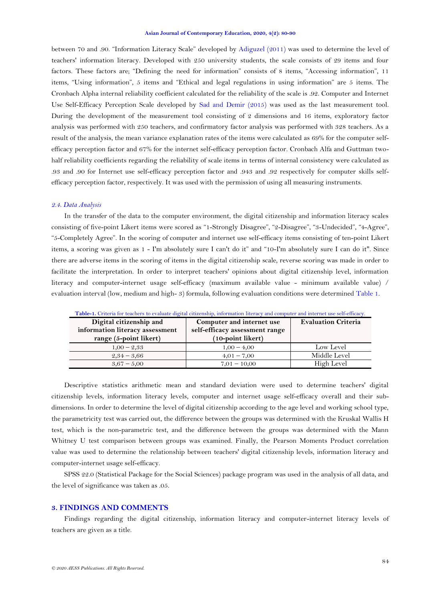<span id="page-4-1"></span>between 70 and .90. "Information Literacy Scale" developed by [Adiguzel \(2011\)](#page-9-1) was used to determine the level of teachers' information literacy. Developed with 250 university students, the scale consists of 29 items and four factors. These factors are; "Defining the need for information" consists of 8 items, "Accessing information", 11 items, "Using information", 5 items and "Ethical and legal regulations in using information" are 5 items. The Cronbach Alpha internal reliability coefficient calculated for the reliability of the scale is .92. Computer and Internet Use Self-Efficacy Perception Scale developed by [Sad and Demir \(2015\)](#page-10-0) was used as the last measurement tool. During the development of the measurement tool consisting of 2 dimensions and 16 items, exploratory factor analysis was performed with 250 teachers, and confirmatory factor analysis was performed with 328 teachers. As a result of the analysis, the mean variance explanation rates of the items were calculated as 69% for the computer selfefficacy perception factor and 67% for the internet self-efficacy perception factor. Cronbach Alfa and Guttman twohalf reliability coefficients regarding the reliability of scale items in terms of internal consistency were calculated as .93 and .90 for Internet use self-efficacy perception factor and .943 and .92 respectively for computer skills selfefficacy perception factor, respectively. It was used with the permission of using all measuring instruments.

#### *2.4. Data Analysis*

In the transfer of the data to the computer environment, the digital citizenship and information literacy scales consisting of five-point Likert items were scored as "1-Strongly Disagree", "2-Disagree", "3-Undecided", "4-Agree", "5-Completely Agree". In the scoring of computer and internet use self-efficacy items consisting of ten-point Likert items, a scoring was given as 1 - I'm absolutely sure I can't do it" and "10-I'm absolutely sure I can do it". Since there are adverse items in the scoring of items in the digital citizenship scale, reverse scoring was made in order to facilitate the interpretation. In order to interpret teachers' opinions about digital citizenship level, information literacy and computer-internet usage self-efficacy (maximum available value - minimum available value) / evaluation interval (low, medium and high- 3) formula, following evaluation conditions were determined [Table 1.](#page-4-0)

<span id="page-4-0"></span>

| Digital citizenship and<br>information literacy assessment<br>range (5-point likert) | Computer and internet use<br>self-efficacy assessment range<br>(10-point likert) | <b>Evaluation Criteria</b> |
|--------------------------------------------------------------------------------------|----------------------------------------------------------------------------------|----------------------------|
| $1,00 - 2,33$                                                                        | $1,00 - 4,00$                                                                    | Low Level                  |
| $2,34 - 3,66$                                                                        | $4,01 - 7,00$                                                                    | Middle Level               |
| $3,67 - 5,00$                                                                        | $7,01 - 10,00$                                                                   | High Level                 |

**Table-1.** Criteria for teachers to evaluate digital citizenship, information literacy and computer and internet use self-efficacy.

Descriptive statistics arithmetic mean and standard deviation were used to determine teachers' digital citizenship levels, information literacy levels, computer and internet usage self-efficacy overall and their subdimensions. In order to determine the level of digital citizenship according to the age level and working school type, the parametricity test was carried out, the difference between the groups was determined with the Kruskal Wallis H test, which is the non-parametric test, and the difference between the groups was determined with the Mann Whitney U test comparison between groups was examined. Finally, the Pearson Moments Product correlation value was used to determine the relationship between teachers' digital citizenship levels, information literacy and computer-internet usage self-efficacy.

SPSS 22.0 (Statistical Package for the Social Sciences) package program was used in the analysis of all data, and the level of significance was taken as .05.

### **3. FINDINGS AND COMMENTS**

Findings regarding the digital citizenship, information literacy and computer-internet literacy levels of teachers are given as a title.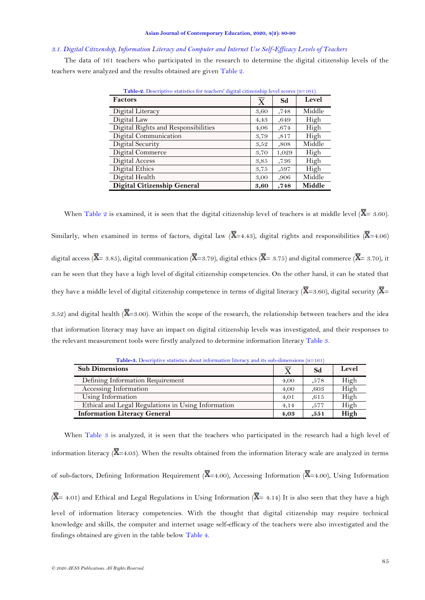### <span id="page-5-0"></span>*3.1. Digital Citizenship, Information Literacy and Computer and Internet Use Self-Efficacy Levels of Teachers*

The data of 161 teachers who participated in the research to determine the digital citizenship levels of the teachers were analyzed and the results obtained are given [Table 2.](#page-4-1)

| <b>Table-2.</b> Descriptive statistics for teachers digital citizenship level scores (n=101). |         |       |        |
|-----------------------------------------------------------------------------------------------|---------|-------|--------|
| <b>Factors</b>                                                                                | $\rm X$ | Sd    | Level  |
| Digital Literacy                                                                              | 3,60    | .748  | Middle |
| Digital Law                                                                                   | 4,43    | ,649  | High   |
| Digital Rights and Responsibilities                                                           | 4,06    | ,674  | High   |
| Digital Communication                                                                         | 3,79    | ,817  | High   |
| Digital Security                                                                              | 3,52    | ,808  | Middle |
| Digital Commerce                                                                              | 3,70    | 1,029 | High   |
| Digital Access                                                                                | 3,85    | ,736  | High   |
| Digital Ethics                                                                                | 3,75    | ,597  | High   |
| Digital Health                                                                                | 3,00    | ,906  | Middle |
| Digital Citizenship General                                                                   | 3,60    | ,748  | Middle |

**Table-2.** Descriptive statistics for teachers' digital citizenship level scores (n=161).

When [Table 2](#page-4-1) is examined, it is seen that the digital citizenship level of teachers is at middle level ( $\overline{X}$ = 3.60) Similarly, when examined in terms of factors, digital law ( $\overline{X}$ =4.43), digital rights and responsibilities ( $\overline{X}$ =4.06) digital access ( $\overline{X}$ = 3.85), digital communication ( $\overline{X}$ =3.79), digital ethics ( $\overline{X}$ = 3.75) and digital commerce ( $\overline{X}$ = 3.70), it can be seen that they have a high level of digital citizenship competencies. On the other hand, it can be stated that they have a middle level of digital citizenship competence in terms of digital literacy ( $\overline{X}$ =3.60), digital security ( $\overline{X}$ = 3.52) and digital health ( $\overline{X}$ =3.00). Within the scope of the research, the relationship between teachers and the idea

that information literacy may have an impact on digital citizenship levels was investigated, and their responses to the relevant measurement tools were firstly analyzed to determine information literacy Table 3.

| <b>Sub Dimensions</b>                              |      | Sd    | Level |
|----------------------------------------------------|------|-------|-------|
| Defining Information Requirement                   | 4,00 | .578  | High  |
| Accessing Information                              | 4,00 | .603  | High  |
| Using Information                                  | 4,01 | .615  | High  |
| Ethical and Legal Regulations in Using Information | 4,14 | .577  | High  |
| <b>Information Literacy General</b>                | 4,03 | , 551 | High  |

**Table-3.** Descriptive statistics about information literacy and its sub-dimensions (n=161)

When Table 3 is analyzed, it is seen that the teachers who participated in the research had a high level of information literacy  $(\overline{X} = 4.03)$ . When the results obtained from the information literacy scale are analyzed in terms of sub-factors, Defining Information Requirement ( $\overline{X}$ =4.00), Accessing Information ( $\overline{X}$ =4.00), Using Information  $(\overline{X} = 4.01)$  and Ethical and Legal Regulations in Using Information ( $\overline{X} = 4.14$ ) It is also seen that they have a high level of information literacy competencies. With the thought that digital citizenship may require technical knowledge and skills, the computer and internet usage self-efficacy of the teachers were also investigated and the findings obtained are given in the table below [Table 4.](#page-5-0)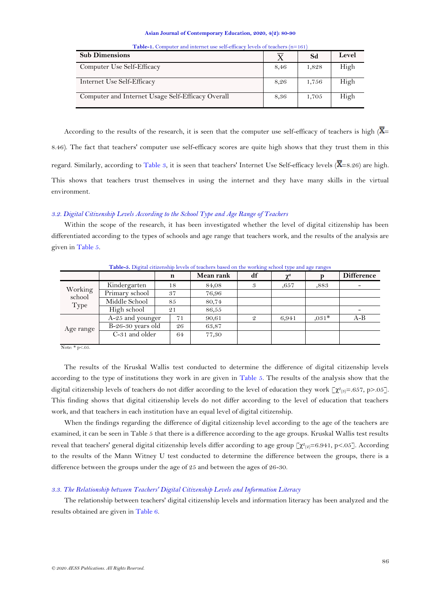| <b>Sub Dimensions</b>                             |      | Sd    | Level |
|---------------------------------------------------|------|-------|-------|
| Computer Use Self-Efficacy                        | 8,46 | 1,828 | High  |
| Internet Use Self-Efficacy                        | 8,26 | 1,756 | High  |
| Computer and Internet Usage Self-Efficacy Overall | 8,36 | 1,705 | High  |

**Table-1.** Computer and internet use self-efficacy levels of teachers (n=161)

According to the results of the research, it is seen that the computer use self-efficacy of teachers is high  $(\overline{X})$ 8.46). The fact that teachers' computer use self-efficacy scores are quite high shows that they trust them in this regard. Similarly, according to Table 3, it is seen that teachers' Internet Use Self-efficacy levels ( $\overline{X}$ =8.26) are high. This shows that teachers trust themselves in using the internet and they have many skills in the virtual environment.

# *3.2. Digital Citizenship Levels According to the School Type and Age Range of Teachers*

Within the scope of the research, it has been investigated whether the level of digital citizenship has been differentiated according to the types of schools and age range that teachers work, and the results of the analysis are given i[n Table 5.](#page-6-0)

<span id="page-6-0"></span>

| <b>Table-5.</b> Digital citizenship levels of teachers based on the working school type and age ranges |                     |    |    |           |    |                               |         |                   |
|--------------------------------------------------------------------------------------------------------|---------------------|----|----|-----------|----|-------------------------------|---------|-------------------|
|                                                                                                        |                     | n  |    | Mean rank | df | $\chi^{\scriptscriptstyle 2}$ |         | <b>Difference</b> |
|                                                                                                        | Kindergarten        | 18 |    | 84,08     |    | .657                          | ,883    |                   |
| Working<br>school                                                                                      | Primary school      | 37 |    | 76,96     |    |                               |         |                   |
| Type                                                                                                   | Middle School       | 85 |    | 80,74     |    |                               |         |                   |
|                                                                                                        | High school         | 21 |    | 86,55     |    |                               |         |                   |
| Age range                                                                                              | A-25 and younger    |    | 71 | 90,61     | 9  | 6,941                         | $.031*$ | $A-B$             |
|                                                                                                        | $B-26-30$ years old | 26 |    | 63,87     |    |                               |         |                   |
|                                                                                                        | C-31 and older      |    | 64 | 77,30     |    |                               |         |                   |
|                                                                                                        |                     |    |    |           |    |                               |         |                   |

**Table-5.** Digital citizenship levels of teachers based on the working school type and age ranges

Note: \* p<.05.

The results of the Kruskal Wallis test conducted to determine the difference of digital citizenship levels according to the type of institutions they work in are given in [Table 5.](#page-6-0) The results of the analysis show that the digital citizenship levels of teachers do not differ according to the level of education they work  $\llbracket \chi^2_{(3)} = .657, p > .05 \rrbracket$ . This finding shows that digital citizenship levels do not differ according to the level of education that teachers work, and that teachers in each institution have an equal level of digital citizenship.

When the findings regarding the difference of digital citizenship level according to the age of the teachers are examined, it can be seen in Table 5 that there is a difference according to the age groups. Kruskal Wallis test results reveal that teachers' general digital citizenship levels differ according to age group  $[\chi^2_{(2)}=6.941, p<.05]$ . According to the results of the Mann Witney U test conducted to determine the difference between the groups, there is a difference between the groups under the age of 25 and between the ages of 26-30.

## *3.3. The Relationship between Teachers' Digital Citizenship Levels and Information Literacy*

<span id="page-6-1"></span>The relationship between teachers' digital citizenship levels and information literacy has been analyzed and the results obtained are given in [Table 6.](#page-6-1)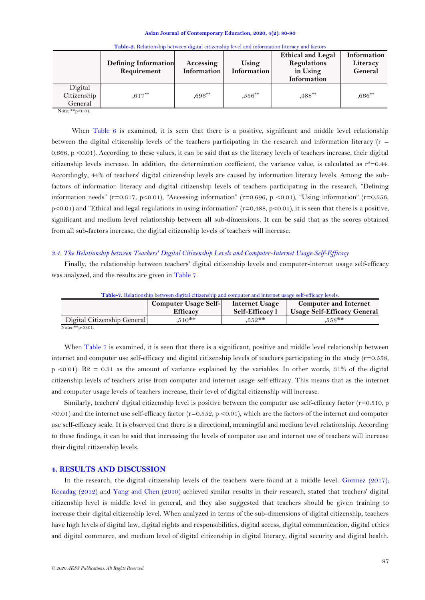|                                   | <b>Defining Information</b><br>Requirement | Accessing<br>Information | Using<br>Information | <b>Ethical and Legal</b><br>Regulations<br>in Using<br>Information | Information<br>Literacy<br>General |
|-----------------------------------|--------------------------------------------|--------------------------|----------------------|--------------------------------------------------------------------|------------------------------------|
| Digital<br>Citizenship<br>General | $.617***$                                  | $0.696***$               | $,556***$            | $,488^{**}$                                                        | $,666^{**}$                        |

|  |  | Table-2. Relationship between digital citizenship level and information literacy and factors |  |
|--|--|----------------------------------------------------------------------------------------------|--|
|  |  |                                                                                              |  |

Note: \*\*p<0.01.

When Table  $6$  is examined, it is seen that there is a positive, significant and middle level relationship between the digital citizenship levels of the teachers participating in the research and information literacy ( $r =$ 0.666,  $p \le 0.01$ ). According to these values, it can be said that as the literacy levels of teachers increase, their digital citizenship levels increase. In addition, the determination coefficient, the variance value, is calculated as  $r^2=0.44$ . Accordingly, 44% of teachers' digital citizenship levels are caused by information literacy levels. Among the subfactors of information literacy and digital citizenship levels of teachers participating in the research, "Defining information needs" (r=0.617, p<0.01), "Accessing information" (r=0.696, p <0.01), "Using information" (r=0.556,  $p\leq 0.01$ ) and "Ethical and legal regulations in using information" ( $r=0.488$ ,  $p\leq 0.01$ ), it is seen that there is a positive, significant and medium level relationship between all sub-dimensions. It can be said that as the scores obtained from all sub-factors increase, the digital citizenship levels of teachers will increase.

## *3.4. The Relationship between Teachers' Digital Citizenship Levels and Computer-Internet Usage Self-Efficacy*

Finally, the relationship between teachers' digital citizenship levels and computer-internet usage self-efficacy was analyzed, and the results are given in [Table 7.](#page-7-0)

<span id="page-7-0"></span>

| <b>Table-7.</b> Relationship between digital citizenship and computer and internet usage self-efficacy levels. |                                         |                                   |                                                                    |  |  |  |  |
|----------------------------------------------------------------------------------------------------------------|-----------------------------------------|-----------------------------------|--------------------------------------------------------------------|--|--|--|--|
|                                                                                                                | Computer Usage Self-<br><b>Efficacy</b> | Internet Usage<br>Self-Efficacy 1 | <b>Computer and Internet</b><br><b>Usage Self-Efficacy General</b> |  |  |  |  |
| Digital Citizenship General                                                                                    | $.510**$                                | $.552**$                          | $.558**$                                                           |  |  |  |  |
| <b>AT AMA AND</b>                                                                                              |                                         |                                   |                                                                    |  |  |  |  |

Note: \*\*p<0.01.

When [Table 7](#page-7-0) is examined, it is seen that there is a significant, positive and middle level relationship between internet and computer use self-efficacy and digital citizenship levels of teachers participating in the study  $(r=0.558,$  $p$  <0.01). R2 = 0.31 as the amount of variance explained by the variables. In other words, 31% of the digital citizenship levels of teachers arise from computer and internet usage self-efficacy. This means that as the internet and computer usage levels of teachers increase, their level of digital citizenship will increase.

Similarly, teachers' digital citizenship level is positive between the computer use self-efficacy factor (r=0.510, p  $\leq 0.01$  and the internet use self-efficacy factor (r=0.552, p  $\leq 0.01$ ), which are the factors of the internet and computer use self-efficacy scale. It is observed that there is a directional, meaningful and medium level relationship. According to these findings, it can be said that increasing the levels of computer use and internet use of teachers will increase their digital citizenship levels.

### **4. RESULTS AND DISCUSSION**

In the research, the digital citizenship levels of the teachers were found at a middle level. [Gormez \(2017\)](#page-9-0); [Kocadag \(2012\)](#page-10-5) and [Yang and Chen \(2010\)](#page-10-8) achieved similar results in their research, stated that teachers' digital citizenship level is middle level in general, and they also suggested that teachers should be given training to increase their digital citizenship level. When analyzed in terms of the sub-dimensions of digital citizenship, teachers have high levels of digital law, digital rights and responsibilities, digital access, digital communication, digital ethics and digital commerce, and medium level of digital citizenship in digital literacy, digital security and digital health.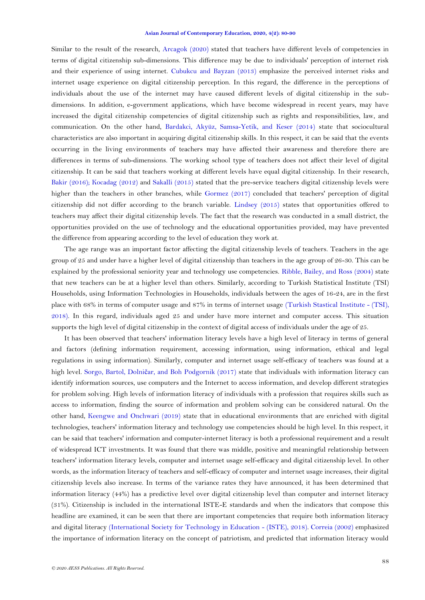Similar to the result of the research, [Arcagok \(2020\)](#page-9-11) stated that teachers have different levels of competencies in terms of digital citizenship sub-dimensions. This difference may be due to individuals' perception of internet risk and their experience of using internet. [Cubukcu and Bayzan \(2013\)](#page-9-3) emphasize the perceived internet risks and internet usage experience on digital citizenship perception. In this regard, the difference in the perceptions of individuals about the use of the internet may have caused different levels of digital citizenship in the subdimensions. In addition, e-government applications, which have become widespread in recent years, may have increased the digital citizenship competencies of digital citizenship such as rights and responsibilities, law, and communication. On the other hand, [Bardakci, Akyüz, Samsa-Yetik, and Keser \(2014\)](#page-9-12) state that sociocultural characteristics are also important in acquiring digital citizenship skills. In this respect, it can be said that the events occurring in the living environments of teachers may have affected their awareness and therefore there are differences in terms of sub-dimensions. The working school type of teachers does not affect their level of digital citizenship. It can be said that teachers working at different levels have equal digital citizenship. In their research, [Bakir \(2016\)](#page-9-9); [Kocadag \(2012\)](#page-10-5) and [Sakalli \(2015\)](#page-10-9) stated that the pre-service teachers digital citizenship levels were higher than the teachers in other branches, while [Gormez \(2017\)](#page-9-0) concluded that teachers' perception of digital citizenship did not differ according to the branch variable. [Lindsey \(2015\)](#page-10-10) states that opportunities offered to teachers may affect their digital citizenship levels. The fact that the research was conducted in a small district, the opportunities provided on the use of technology and the educational opportunities provided, may have prevented the difference from appearing according to the level of education they work at.

The age range was an important factor affecting the digital citizenship levels of teachers. Teachers in the age group of 25 and under have a higher level of digital citizenship than teachers in the age group of 26-30. This can be explained by the professional seniority year and technology use competencies. [Ribble, Bailey, and Ross](#page-10-11) (2004) state that new teachers can be at a higher level than others. Similarly, according to Turkish Statistical Institute (TSI) Households, using Information Technologies in Households, individuals between the ages of 16-24, are in the first place with 68% in terms of computer usage and 87% in terms of internet usage [\(Turkish Stastical Institute -](#page-10-12) (TSI), [2018\)](#page-10-12). In this regard, individuals aged 25 and under have more internet and computer access. This situation supports the high level of digital citizenship in the context of digital access of individuals under the age of 25.

It has been observed that teachers' information literacy levels have a high level of literacy in terms of general and factors (defining information requirement, accessing information, using information, ethical and legal regulations in using information). Similarly, computer and internet usage self-efficacy of teachers was found at a high level. Sorgo, Bartol, Dolnič[ar, and Boh Podgornik \(2017\)](#page-10-13) state that individuals with information literacy can identify information sources, use computers and the Internet to access information, and develop different strategies for problem solving. High levels of information literacy of individuals with a profession that requires skills such as access to information, finding the source of information and problem solving can be considered natural. On the other hand, [Keengwe and Onchwari \(2019\)](#page-9-0) state that in educational environments that are enriched with digital technologies, teachers' information literacy and technology use competencies should be high level. In this respect, it can be said that teachers' information and computer-internet literacy is both a professional requirement and a result of widespread ICT investments. It was found that there was middle, positive and meaningful relationship between teachers' information literacy levels, computer and internet usage self-efficacy and digital citizenship level. In other words, as the information literacy of teachers and self-efficacy of computer and internet usage increases, their digital citizenship levels also increase. In terms of the variance rates they have announced, it has been determined that information literacy (44%) has a predictive level over digital citizenship level than computer and internet literacy (31%). Citizenship is included in the international ISTE-E standards and when the indicators that compose this headline are examined, it can be seen that there are important competencies that require both information literacy and digital literacy [\(International Society for Technology in Education -](#page-9-0) (ISTE), 2018). [Correia \(2002\)](#page-9-13) emphasized the importance of information literacy on the concept of patriotism, and predicted that information literacy would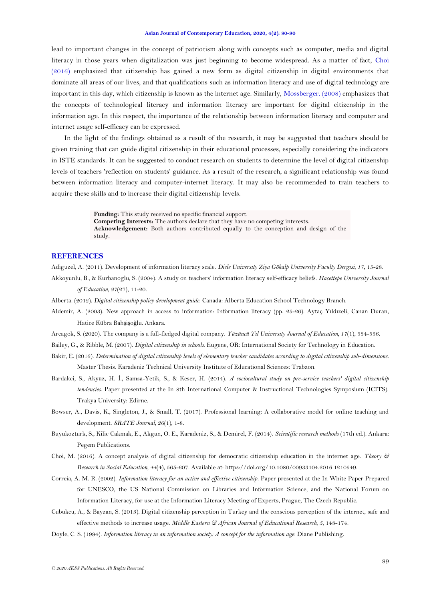<span id="page-9-0"></span>lead to important changes in the concept of patriotism along with concepts such as computer, media and digital literacy in those years when digitalization was just beginning to become widespread. As a matter of fact, [Choi](#page-9-14)  [\(2016\)](#page-9-14) emphasized that citizenship has gained a new form as digital citizenship in digital environments that dominate all areas of our lives, and that qualifications such as information literacy and use of digital technology are important in this day, which citizenship is known as the internet age. Similarly, [Mossberger. \(2008\)](#page-10-14) emphasizes that the concepts of technological literacy and information literacy are important for digital citizenship in the information age. In this respect, the importance of the relationship between information literacy and computer and internet usage self-efficacy can be expressed.

In the light of the findings obtained as a result of the research, it may be suggested that teachers should be given training that can guide digital citizenship in their educational processes, especially considering the indicators in ISTE standards. It can be suggested to conduct research on students to determine the level of digital citizenship levels of teachers 'reflection on students' guidance. As a result of the research, a significant relationship was found between information literacy and computer-internet literacy. It may also be recommended to train teachers to acquire these skills and to increase their digital citizenship levels.

> **Funding:** This study received no specific financial support. **Competing Interests:** The authors declare that they have no competing interests. **Acknowledgement:** Both authors contributed equally to the conception and design of the study.

# **REFERENCES**

<span id="page-9-8"></span><span id="page-9-1"></span>Adiguzel, A. (2011). Development of information literacy scale. *Dicle University Ziya Gökalp University Faculty Dergisi, 17*, 15-28. Akkoyunlu, B., & Kurbanoglu, S. (2004). A study on teachers' information literacy self-efficacy beliefs. *Hacettepe University Journal* 

*of Education, 27*(27), 11-20.

<span id="page-9-2"></span>Alberta. (2012). *Digital citizenship policy development guide*. Canada: Alberta Education School Technology Branch.

- <span id="page-9-6"></span>Aldemir, A. (2003). New approach in access to information: Information literacy (pp. 25-26). Aytaç Yıldızeli, Canan Duran, Hatice Kübra Bahşişoğlu. Ankara.
- <span id="page-9-11"></span>Arcagok, S. (2020). The company is a full-fledged digital company. *Yüzüncü Yıl University Journal of Education, 17*(1), 534-556.

<span id="page-9-5"></span>Bailey, G., & Ribble, M. (2007). *Digital citizenship in schools*. Eugene, OR: International Society for Technology in Education.

- <span id="page-9-9"></span>Bakir, E. (2016). *Determination of digital citizenship levels of elementary teacher candidates according to digital citizenship sub-dimensions.* Master Thesis. Karadeniz Technical University Institute of Educational Sciences: Trabzon.
- <span id="page-9-12"></span>Bardakci, S., Akyüz, H. İ., Samsa-Yetik, S., & Keser, H. (2014). *A sociocultural study on pre-service teachers' digital citizenship tendencies*. Paper presented at the In 8th International Computer & Instructional Technologies Symposium (ICITS). Trakya University: Edirne.
- <span id="page-9-4"></span>Bowser, A., Davis, K., Singleton, J., & Small, T. (2017). Professional learning: A collaborative model for online teaching and development. *SRATE Journal, 26*(1), 1-8.
- <span id="page-9-10"></span>Buyukozturk, S., Kilic Cakmak, E., Akgun, O. E., Karadeniz, S., & Demirel, F. (2014). *Scientific research methods* (17th ed.). Ankara: Pegem Publications.
- <span id="page-9-14"></span>Choi, M. (2016). A concept analysis of digital citizenship for democratic citizenship education in the internet age. *Theory & Research in Social Education, 44*(4), 565-607. Available at: https://doi.org/10.1080/00933104.2016.1210549.
- <span id="page-9-13"></span>Correia, A. M. R. (2002). *Information literacy for an active and effective citizenship*. Paper presented at the In White Paper Prepared for UNESCO, the US National Commission on Libraries and Information Science, and the National Forum on Information Literacy, for use at the Information Literacy Meeting of Experts, Prague, The Czech Republic.
- <span id="page-9-3"></span>Cubukcu, A., & Bayzan, S. (2013). Digital citizenship perception in Turkey and the conscious perception of the internet, safe and effective methods to increase usage. *Middle Eastern & African Journal of Educational Research, 5*, 148-174.
- <span id="page-9-7"></span>Doyle, C. S. (1994). *Information literacy in an information society: A concept for the information age*: Diane Publishing.